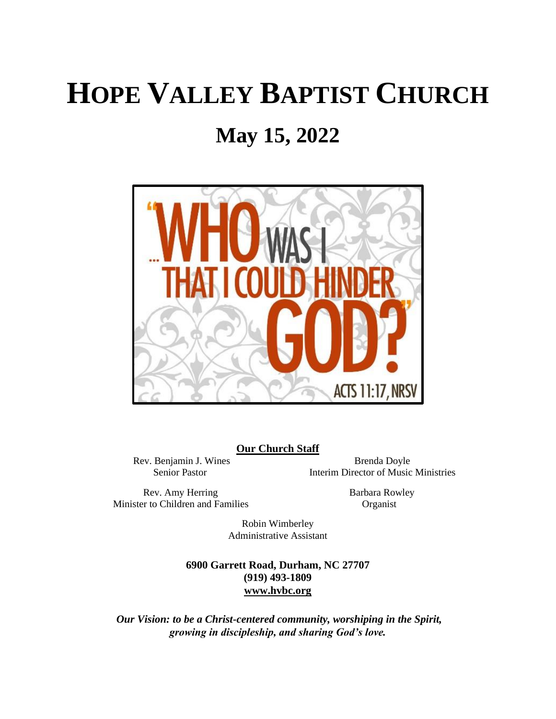# **HOPE VALLEY BAPTIST CHURCH**

## **May 15, 2022**



**Our Church Staff**

Rev. Benjamin J. Wines<br>
Senior Pastor<br>
Interim Director of Music

Rev. Amy Herring Barbara Rowley Minister to Children and Families Organist

Interim Director of Music Ministries

Robin Wimberley Administrative Assistant

**6900 Garrett Road, Durham, NC 27707 (919) 493-1809 [www.hvbc.org](https://nam02.safelinks.protection.outlook.com/?url=http%3A%2F%2Fwww.hvbc.org%2F&data=04%7C01%7Crobin%40hvbc.org%7Ca1947220efe048d45f2008d90f3f5013%7C19334143b857471a909f515a9e93cce3%7C0%7C0%7C637557586922368739%7CUnknown%7CTWFpbGZsb3d8eyJWIjoiMC4wLjAwMDAiLCJQIjoiV2luMzIiLCJBTiI6Ik1haWwiLCJXVCI6Mn0%3D%7C1000&sdata=vD8UY%2Ft%2Bw4fHfO%2FGyoDO3ShGm4jsX4L5zIVu36neNyk%3D&reserved=0)**

*Our Vision: to be a Christ-centered community, worshiping in the Spirit, growing in discipleship, and sharing God's love.*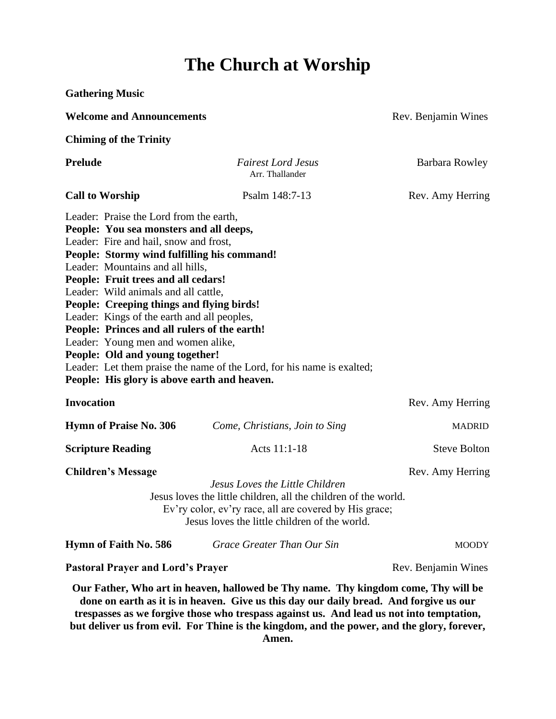### **The Church at Worship**

**Gathering Music Welcome and Announcements Rev. Benjamin Wines Rev. Benjamin Wines Chiming of the Trinity Prelude** *Fairest Lord Jesus* Barbara Rowley Arr. Thallander **Call to Worship Psalm 148:7-13** Rev. Amy Herring Leader: Praise the Lord from the earth, **People: You sea monsters and all deeps,** Leader: Fire and hail, snow and frost, **People: Stormy wind fulfilling his command!** Leader: Mountains and all hills, **People: Fruit trees and all cedars!** Leader: Wild animals and all cattle, **People: Creeping things and flying birds!** Leader: Kings of the earth and all peoples, **People: Princes and all rulers of the earth!** Leader: Young men and women alike, **People: Old and young together!** Leader: Let them praise the name of the Lord, for his name is exalted; **People: His glory is above earth and heaven. Invocation Rev.** Amy Herring **Hymn of Praise No. 306** *Come, Christians, Join to Sing* **MADRID MADRID Scripture Reading** Acts 11:1-18 Steve Bolton **Children's Message** *Rev. Amy Herring Jesus Loves the Little Children* Jesus loves the little children, all the children of the world. Ev'ry color, ev'ry race, all are covered by His grace; Jesus loves the little children of the world. **Hymn of Faith No. 586** *Grace Greater Than Our Sin MOODY* **Pastoral Prayer and Lord's Prayer Rev. Benjamin Wines Rev. Benjamin Wines** 

**Our Father, Who art in heaven, hallowed be Thy name. Thy kingdom come, Thy will be done on earth as it is in heaven. Give us this day our daily bread. And forgive us our trespasses as we forgive those who trespass against us. And lead us not into temptation, but deliver us from evil. For Thine is the kingdom, and the power, and the glory, forever, Amen.**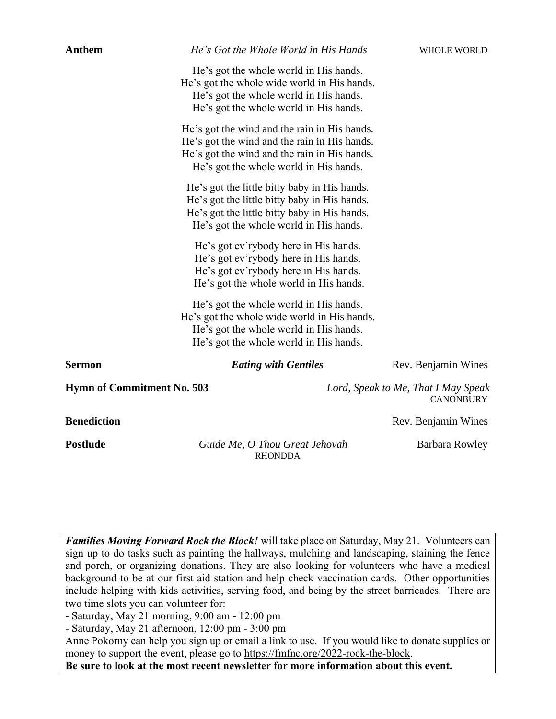| <b>Anthem</b>                     | He's Got the Whole World in His Hands                                                                                                                                                  | <b>WHOLE WORLD</b>                                      |
|-----------------------------------|----------------------------------------------------------------------------------------------------------------------------------------------------------------------------------------|---------------------------------------------------------|
|                                   | He's got the whole world in His hands.<br>He's got the whole wide world in His hands.<br>He's got the whole world in His hands.<br>He's got the whole world in His hands.              |                                                         |
|                                   | He's got the wind and the rain in His hands.<br>He's got the wind and the rain in His hands.<br>He's got the wind and the rain in His hands.<br>He's got the whole world in His hands. |                                                         |
|                                   | He's got the little bitty baby in His hands.<br>He's got the little bitty baby in His hands.<br>He's got the little bitty baby in His hands.<br>He's got the whole world in His hands. |                                                         |
|                                   | He's got ev'rybody here in His hands.<br>He's got ev'rybody here in His hands.<br>He's got ev'rybody here in His hands.<br>He's got the whole world in His hands.                      |                                                         |
|                                   | He's got the whole world in His hands.<br>He's got the whole wide world in His hands.<br>He's got the whole world in His hands.<br>He's got the whole world in His hands.              |                                                         |
| <b>Sermon</b>                     | <b>Eating with Gentiles</b>                                                                                                                                                            | Rev. Benjamin Wines                                     |
| <b>Hymn of Commitment No. 503</b> |                                                                                                                                                                                        | Lord, Speak to Me, That I May Speak<br><b>CANONBURY</b> |
| <b>Benediction</b>                |                                                                                                                                                                                        | Rev. Benjamin Wines                                     |
| <b>Postlude</b>                   | Guide Me, O Thou Great Jehovah                                                                                                                                                         | <b>Barbara Rowley</b>                                   |

*Families Moving Forward Rock the Block!* will take place on Saturday, May 21. Volunteers can sign up to do tasks such as painting the hallways, mulching and landscaping, staining the fence and porch, or organizing donations. They are also looking for volunteers who have a medical background to be at our first aid station and help check vaccination cards. Other opportunities include helping with kids activities, serving food, and being by the street barricades. There are two time slots you can volunteer for:

RHONDDA

- Saturday, May 21 morning, 9:00 am - 12:00 pm

- Saturday, May 21 afternoon, 12:00 pm - 3:00 pm

Anne Pokorny can help you sign up or email a link to use. If you would like to donate supplies or money to support the event, please go to [https://fmfnc.org/2022-rock-the-block.](https://nam02.safelinks.protection.outlook.com/?url=https%3A%2F%2Ffmfnc.org%2F2022-rock-the-block&data=05%7C01%7Crobin%40hvbc.org%7C1b9adc4e1e9e40c67a1008da2e3c8f31%7C19334143b857471a909f515a9e93cce3%7C0%7C0%7C637873134891018507%7CUnknown%7CTWFpbGZsb3d8eyJWIjoiMC4wLjAwMDAiLCJQIjoiV2luMzIiLCJBTiI6Ik1haWwiLCJXVCI6Mn0%3D%7C3000%7C%7C%7C&sdata=V4vBCTjpOkf9V8zMo3fM%2BXf6fxgULJuHWd%2Bas5ZsZg4%3D&reserved=0)

**Be sure to look at the most recent newsletter for more information about this event.**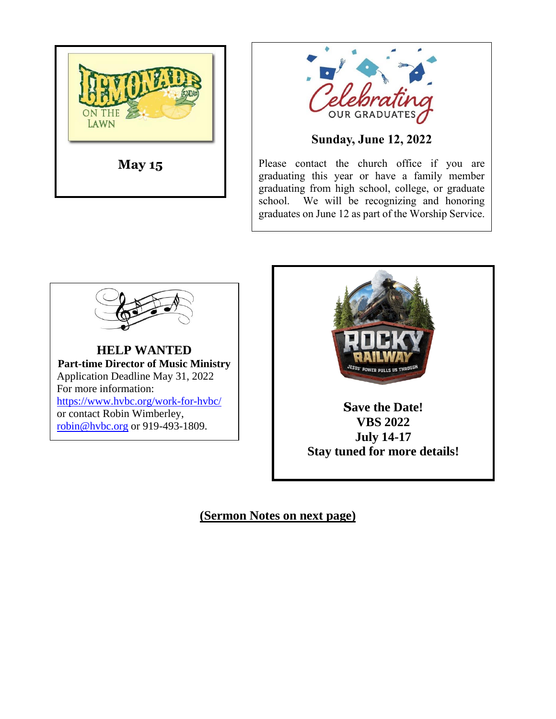



#### **Sunday, June 12, 2022**

Please contact the church office if you are graduating this year or have a family member graduating from high school, college, or graduate school. We will be recognizing and honoring graduates on June 12 as part of the Worship Service.





**(Sermon Notes on next page)**